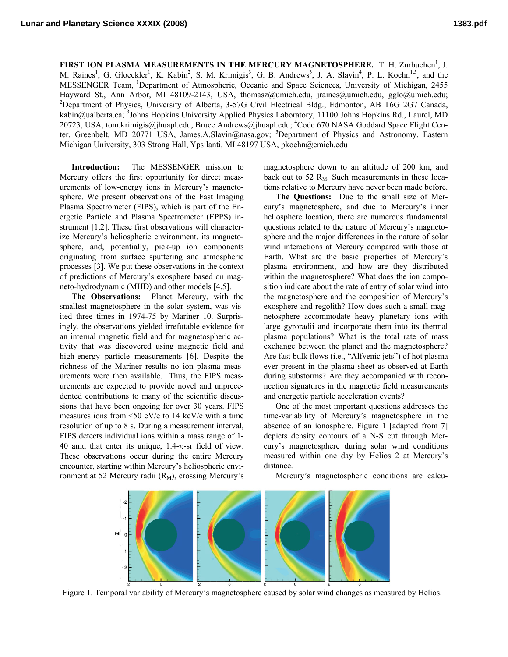FIRST ION PLASMA MEASUREMENTS IN THE MERCURY MAGNETOSPHERE. T. H. Zurbuchen<sup>1</sup>, J. M. Raines<sup>1</sup>, G. Gloeckler<sup>1</sup>, K. Kabin<sup>2</sup>, S. M. Krimigis<sup>3</sup>, G. B. Andrews<sup>3</sup>, J. A. Slavin<sup>4</sup>, P. L. Koehn<sup>1,5</sup>, and the MESSENGER Team, 1Department of Atmospheric, Oceanic and Space Sciences, University of Michigan, 2455 Hayward St., Ann Arbor, MI 48109-2143, USA, thomasz@umich.edu, jraines@umich.edu, gglo@umich.edu; 2 <sup>2</sup>Department of Physics, University of Alberta, 3-57G Civil Electrical Bldg., Edmonton, AB T6G 2G7 Canada, kabin@ualberta.ca; <sup>3</sup>Johns Hopkins University Applied Physics Laboratory, 11100 Johns Hopkins Rd., Laurel, MD 20723, USA, tom.krimigis@jhuapl.edu, Bruce.Andrews@jhuapl.edu; <sup>4</sup>Code 670 NASA Goddard Space Flight Center, Greenbelt, MD 20771 USA, James.A.Slavin@nasa.gov; <sup>5</sup>Department of Physics and Astronomy, Eastern Michigan University, 303 Strong Hall, Ypsilanti, MI 48197 USA, pkoehn@emich.edu

**Introduction:** The MESSENGER mission to Mercury offers the first opportunity for direct measurements of low-energy ions in Mercury's magnetosphere. We present observations of the Fast Imaging Plasma Spectrometer (FIPS), which is part of the Energetic Particle and Plasma Spectrometer (EPPS) instrument [1,2]. These first observations will characterize Mercury's heliospheric environment, its magnetosphere, and, potentially, pick-up ion components originating from surface sputtering and atmospheric processes [3]. We put these observations in the context of predictions of Mercury's exosphere based on magneto-hydrodynamic (MHD) and other models [4,5].

**The Observations:** Planet Mercury, with the smallest magnetosphere in the solar system, was visited three times in 1974-75 by Mariner 10. Surprisingly, the observations yielded irrefutable evidence for an internal magnetic field and for magnetospheric activity that was discovered using magnetic field and high-energy particle measurements [6]. Despite the richness of the Mariner results no ion plasma measurements were then available. Thus, the FIPS measurements are expected to provide novel and unprecedented contributions to many of the scientific discussions that have been ongoing for over 30 years. FIPS measures ions from <50 eV/e to 14 keV/e with a time resolution of up to 8 s. During a measurement interval, FIPS detects individual ions within a mass range of 1- 40 amu that enter its unique,  $1.4$ - $\pi$ -sr field of view. These observations occur during the entire Mercury encounter, starting within Mercury's heliospheric environment at 52 Mercury radii  $(R_M)$ , crossing Mercury's

magnetosphere down to an altitude of 200 km, and back out to 52  $R_M$ . Such measurements in these locations relative to Mercury have never been made before.

**The Questions:** Due to the small size of Mercury's magnetosphere, and due to Mercury's inner heliosphere location, there are numerous fundamental questions related to the nature of Mercury's magnetosphere and the major differences in the nature of solar wind interactions at Mercury compared with those at Earth. What are the basic properties of Mercury's plasma environment, and how are they distributed within the magnetosphere? What does the ion composition indicate about the rate of entry of solar wind into the magnetosphere and the composition of Mercury's exosphere and regolith? How does such a small magnetosphere accommodate heavy planetary ions with large gyroradii and incorporate them into its thermal plasma populations? What is the total rate of mass exchange between the planet and the magnetosphere? Are fast bulk flows (i.e., "Alfvenic jets") of hot plasma ever present in the plasma sheet as observed at Earth during substorms? Are they accompanied with reconnection signatures in the magnetic field measurements and energetic particle acceleration events?

One of the most important questions addresses the time-variability of Mercury's magnetosphere in the absence of an ionosphere. Figure 1 [adapted from 7] depicts density contours of a N-S cut through Mercury's magnetosphere during solar wind conditions measured within one day by Helios 2 at Mercury's distance.

Mercury's magnetospheric conditions are calcu-



Figure 1. Temporal variability of Mercury's magnetosphere caused by solar wind changes as measured by Helios.